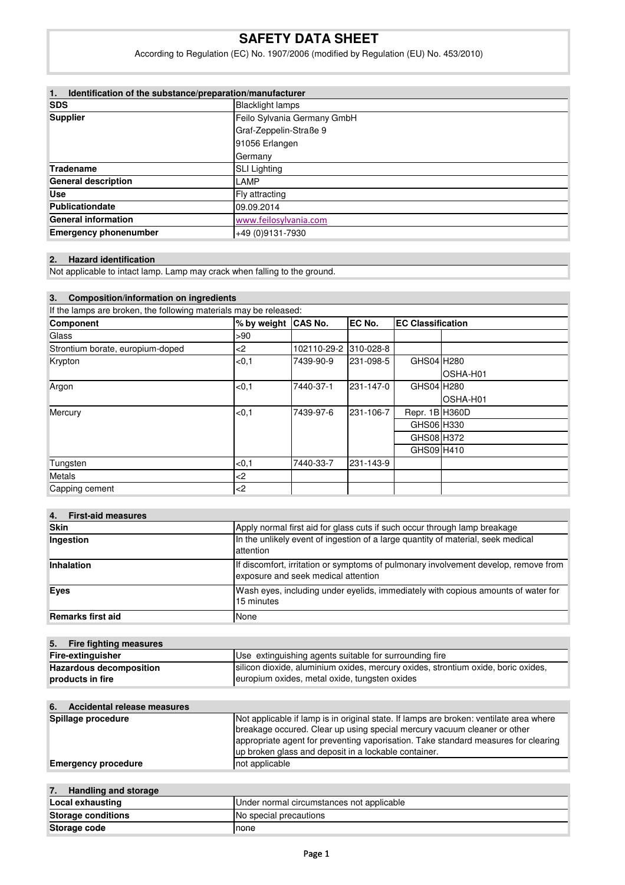# **SAFETY DATA SHEET**

According to Regulation (EC) No. 1907/2006 (modified by Regulation (EU) No. 453/2010)

| Identification of the substance/preparation/manufacturer<br>1. |                             |  |
|----------------------------------------------------------------|-----------------------------|--|
| <b>SDS</b>                                                     | <b>Blacklight lamps</b>     |  |
| <b>Supplier</b>                                                | Feilo Sylvania Germany GmbH |  |
|                                                                | Graf-Zeppelin-Straße 9      |  |
|                                                                | 91056 Erlangen              |  |
|                                                                | Germany                     |  |
| Tradename                                                      | <b>SLI Lighting</b>         |  |
| <b>General description</b>                                     | LAMP                        |  |
| <b>Use</b>                                                     | Fly attracting              |  |
| Publicationdate                                                | 09.09.2014                  |  |
| <b>General information</b>                                     | www.feilosylvania.com       |  |
| <b>Emergency phonenumber</b>                                   | +49 (0) 9131-7930           |  |

#### **2. Hazard identification**

Not applicable to intact lamp. Lamp may crack when falling to the ground.

| <b>Composition/information on ingredients</b><br>3.<br>If the lamps are broken, the following materials may be released: |        |             |           |                |           |             |
|--------------------------------------------------------------------------------------------------------------------------|--------|-------------|-----------|----------------|-----------|-------------|
|                                                                                                                          |        |             |           |                | Component | % by weight |
| Glass                                                                                                                    | >90    |             |           |                |           |             |
| Strontium borate, europium-doped                                                                                         | -2     | 102110-29-2 | 310-028-8 |                |           |             |
| Krypton                                                                                                                  | <0.1   | 7439-90-9   | 231-098-5 | GHS04 H280     |           |             |
|                                                                                                                          |        |             |           |                | OSHA-H01  |             |
| Argon                                                                                                                    | < 0.1  | 7440-37-1   | 231-147-0 | GHS04 H280     |           |             |
|                                                                                                                          |        |             |           |                | OSHA-H01  |             |
| Mercury                                                                                                                  | < 0.1  | 7439-97-6   | 231-106-7 | Repr. 1B H360D |           |             |
|                                                                                                                          |        |             |           | GHS06 H330     |           |             |
|                                                                                                                          |        |             |           | GHS08 H372     |           |             |
|                                                                                                                          |        |             |           | GHS09 H410     |           |             |
| Tungsten                                                                                                                 | < 0, 1 | 7440-33-7   | 231-143-9 |                |           |             |
| Metals                                                                                                                   | -2     |             |           |                |           |             |
| Capping cement                                                                                                           | $<$ 2  |             |           |                |           |             |

| <b>First-aid measures</b><br>4. |                                                                                                                            |
|---------------------------------|----------------------------------------------------------------------------------------------------------------------------|
| <b>Skin</b>                     | Apply normal first aid for glass cuts if such occur through lamp breakage                                                  |
| Ingestion                       | In the unlikely event of ingestion of a large quantity of material, seek medical<br>attention                              |
| <b>Inhalation</b>               | If discomfort, irritation or symptoms of pulmonary involvement develop, remove from<br>exposure and seek medical attention |
| <b>Eves</b>                     | Wash eyes, including under eyelids, immediately with copious amounts of water for<br>15 minutes                            |
| Remarks first aid               | None                                                                                                                       |

| 5. Fire fighting measures      |                                                                                   |
|--------------------------------|-----------------------------------------------------------------------------------|
| Fire-extinguisher              | Use extinguishing agents suitable for surrounding fire                            |
| <b>Hazardous decomposition</b> | silicon dioxide, aluminium oxides, mercury oxides, strontium oxide, boric oxides, |
| products in fire               | europium oxides, metal oxide, tungsten oxides                                     |

| 6. Accidental release measures |                                                                                        |
|--------------------------------|----------------------------------------------------------------------------------------|
| Spillage procedure             | Not applicable if lamp is in original state. If lamps are broken: ventilate area where |
|                                | breakage occured. Clear up using special mercury vacuum cleaner or other               |
|                                | appropriate agent for preventing vaporisation. Take standard measures for clearing     |
|                                | up broken glass and deposit in a lockable container.                                   |
| <b>Emergency procedure</b>     | not applicable                                                                         |

| 7.<br>Handling and storage |                                           |
|----------------------------|-------------------------------------------|
| Local exhausting           | Under normal circumstances not applicable |
| <b>Storage conditions</b>  | No special precautions                    |
| Storage code               | none                                      |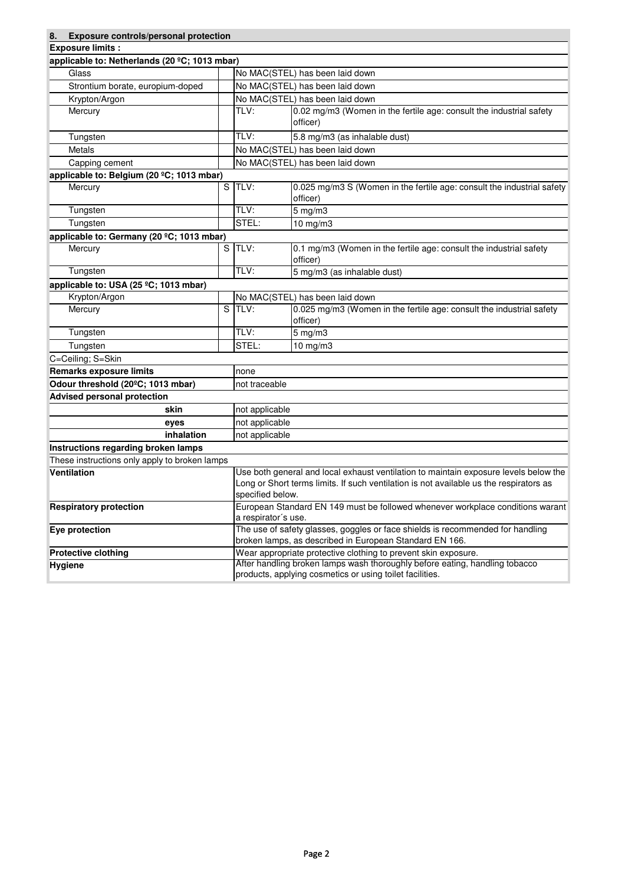| Exposure controls/personal protection<br>8.                                                                                                               |  |                                                                                                                                                                                                    |                                                                                                                                           |  |
|-----------------------------------------------------------------------------------------------------------------------------------------------------------|--|----------------------------------------------------------------------------------------------------------------------------------------------------------------------------------------------------|-------------------------------------------------------------------------------------------------------------------------------------------|--|
| <b>Exposure limits:</b>                                                                                                                                   |  |                                                                                                                                                                                                    |                                                                                                                                           |  |
| applicable to: Netherlands (20 °C; 1013 mbar)                                                                                                             |  |                                                                                                                                                                                                    |                                                                                                                                           |  |
| Glass                                                                                                                                                     |  | No MAC(STEL) has been laid down                                                                                                                                                                    |                                                                                                                                           |  |
| Strontium borate, europium-doped                                                                                                                          |  | No MAC(STEL) has been laid down                                                                                                                                                                    |                                                                                                                                           |  |
| Krypton/Argon                                                                                                                                             |  |                                                                                                                                                                                                    | No MAC(STEL) has been laid down                                                                                                           |  |
| Mercury                                                                                                                                                   |  | TLV:                                                                                                                                                                                               | 0.02 mg/m3 (Women in the fertile age: consult the industrial safety<br>officer)                                                           |  |
| Tungsten                                                                                                                                                  |  | TLV:                                                                                                                                                                                               | 5.8 mg/m3 (as inhalable dust)                                                                                                             |  |
| Metals                                                                                                                                                    |  |                                                                                                                                                                                                    | No MAC(STEL) has been laid down                                                                                                           |  |
| Capping cement                                                                                                                                            |  |                                                                                                                                                                                                    | No MAC(STEL) has been laid down                                                                                                           |  |
| applicable to: Belgium (20 °C; 1013 mbar)                                                                                                                 |  |                                                                                                                                                                                                    |                                                                                                                                           |  |
| Mercury                                                                                                                                                   |  | S TLV:                                                                                                                                                                                             | 0.025 mg/m3 S (Women in the fertile age: consult the industrial safety<br>officer)                                                        |  |
| Tungsten                                                                                                                                                  |  | TLV:                                                                                                                                                                                               | $5$ mg/m $3$                                                                                                                              |  |
| Tungsten                                                                                                                                                  |  | STEL:                                                                                                                                                                                              | 10 mg/m3                                                                                                                                  |  |
| applicable to: Germany (20 °C; 1013 mbar)                                                                                                                 |  |                                                                                                                                                                                                    |                                                                                                                                           |  |
| Mercury                                                                                                                                                   |  | S TLV:                                                                                                                                                                                             | 0.1 mg/m3 (Women in the fertile age: consult the industrial safety<br>officer)                                                            |  |
| Tungsten                                                                                                                                                  |  | TLV:                                                                                                                                                                                               | 5 mg/m3 (as inhalable dust)                                                                                                               |  |
| applicable to: USA (25 °C; 1013 mbar)                                                                                                                     |  |                                                                                                                                                                                                    |                                                                                                                                           |  |
| Krypton/Argon                                                                                                                                             |  |                                                                                                                                                                                                    | No MAC(STEL) has been laid down                                                                                                           |  |
| Mercury                                                                                                                                                   |  | S TLV:                                                                                                                                                                                             | 0.025 mg/m3 (Women in the fertile age: consult the industrial safety<br>officer)                                                          |  |
| Tungsten                                                                                                                                                  |  | TLV:                                                                                                                                                                                               | $5$ mg/m $3$                                                                                                                              |  |
| Tungsten                                                                                                                                                  |  | STEL:                                                                                                                                                                                              | 10 mg/m3                                                                                                                                  |  |
| C=Ceiling; S=Skin                                                                                                                                         |  |                                                                                                                                                                                                    |                                                                                                                                           |  |
| <b>Remarks exposure limits</b>                                                                                                                            |  | none                                                                                                                                                                                               |                                                                                                                                           |  |
| Odour threshold (20°C; 1013 mbar)                                                                                                                         |  | not traceable                                                                                                                                                                                      |                                                                                                                                           |  |
| <b>Advised personal protection</b>                                                                                                                        |  |                                                                                                                                                                                                    |                                                                                                                                           |  |
| skin                                                                                                                                                      |  | not applicable                                                                                                                                                                                     |                                                                                                                                           |  |
| eyes                                                                                                                                                      |  | not applicable                                                                                                                                                                                     |                                                                                                                                           |  |
| inhalation                                                                                                                                                |  | not applicable                                                                                                                                                                                     |                                                                                                                                           |  |
| Instructions regarding broken lamps                                                                                                                       |  |                                                                                                                                                                                                    |                                                                                                                                           |  |
| These instructions only apply to broken lamps                                                                                                             |  |                                                                                                                                                                                                    |                                                                                                                                           |  |
| Ventilation                                                                                                                                               |  | Use both general and local exhaust ventilation to maintain exposure levels below the<br>Long or Short terms limits. If such ventilation is not available us the respirators as<br>specified below. |                                                                                                                                           |  |
| <b>Respiratory protection</b>                                                                                                                             |  | a respirator's use.                                                                                                                                                                                | European Standard EN 149 must be followed whenever workplace conditions warant                                                            |  |
| Eye protection                                                                                                                                            |  |                                                                                                                                                                                                    | The use of safety glasses, goggles or face shields is recommended for handling<br>broken lamps, as described in European Standard EN 166. |  |
| <b>Protective clothing</b>                                                                                                                                |  | Wear appropriate protective clothing to prevent skin exposure.                                                                                                                                     |                                                                                                                                           |  |
| After handling broken lamps wash thoroughly before eating, handling tobacco<br><b>Hygiene</b><br>products, applying cosmetics or using toilet facilities. |  |                                                                                                                                                                                                    |                                                                                                                                           |  |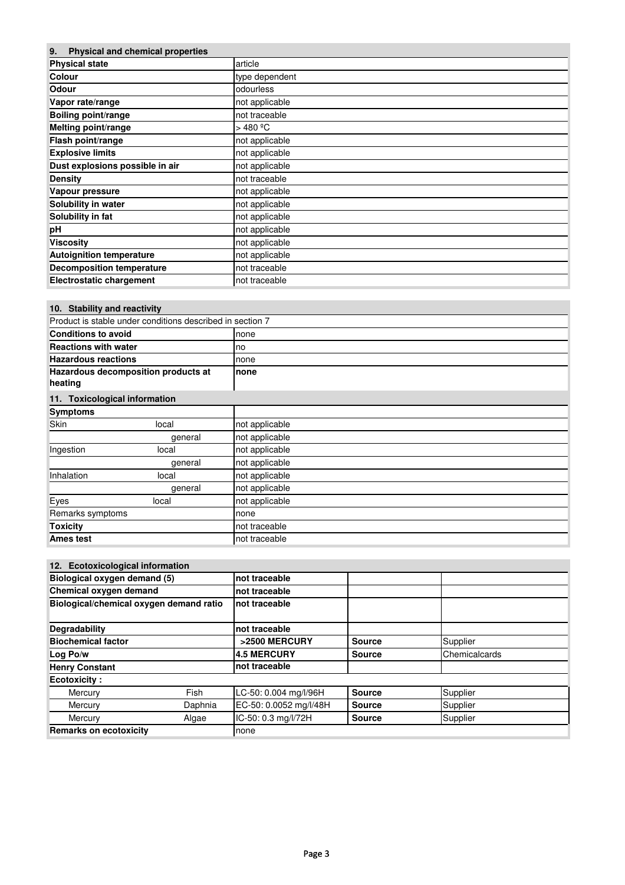| <b>Physical and chemical properties</b><br>9. |                |  |
|-----------------------------------------------|----------------|--|
| <b>Physical state</b>                         | article        |  |
| Colour                                        | type dependent |  |
| Odour                                         | odourless      |  |
| Vapor rate/range                              | not applicable |  |
| <b>Boiling point/range</b>                    | not traceable  |  |
| Melting point/range                           | $>$ 480 °C     |  |
| Flash point/range                             | not applicable |  |
| <b>Explosive limits</b>                       | not applicable |  |
| Dust explosions possible in air               | not applicable |  |
| <b>Density</b>                                | not traceable  |  |
| Vapour pressure                               | not applicable |  |
| Solubility in water                           | not applicable |  |
| Solubility in fat                             | not applicable |  |
| pH                                            | not applicable |  |
| <b>Viscosity</b>                              | not applicable |  |
| <b>Autoignition temperature</b>               | not applicable |  |
| <b>Decomposition temperature</b>              | not traceable  |  |
| <b>Electrostatic chargement</b>               | not traceable  |  |

| 10. Stability and reactivity                   |                                                           |                |
|------------------------------------------------|-----------------------------------------------------------|----------------|
|                                                | Product is stable under conditions described in section 7 |                |
| <b>Conditions to avoid</b>                     |                                                           | none           |
| <b>Reactions with water</b>                    |                                                           | no             |
| <b>Hazardous reactions</b>                     |                                                           | none           |
| Hazardous decomposition products at<br>heating |                                                           | none           |
| 11. Toxicological information                  |                                                           |                |
| <b>Symptoms</b>                                |                                                           |                |
| Skin                                           | local                                                     | not applicable |
|                                                | general                                                   | not applicable |
| Ingestion                                      | local                                                     | not applicable |
|                                                | general                                                   | not applicable |
| Inhalation                                     | local                                                     | not applicable |
|                                                | general                                                   | not applicable |
| Eyes                                           | local                                                     | not applicable |
| Remarks symptoms                               |                                                           | none           |
| Toxicity                                       |                                                           | not traceable  |
| Ames test                                      |                                                           | not traceable  |

## **12. Ecotoxicological information**

| Biological oxygen demand (5)            |             | not traceable          |               |               |
|-----------------------------------------|-------------|------------------------|---------------|---------------|
|                                         |             |                        |               |               |
| Chemical oxygen demand                  |             | not traceable          |               |               |
| Biological/chemical oxygen demand ratio |             | not traceable          |               |               |
| Degradability                           |             | Inot traceable         |               |               |
| <b>Biochemical factor</b>               |             | >2500 MERCURY          | <b>Source</b> | Supplier      |
| Log Po/w                                |             | <b>4.5 MERCURY</b>     | <b>Source</b> | Chemicalcards |
| <b>Henry Constant</b>                   |             | not traceable          |               |               |
| <b>Ecotoxicity:</b>                     |             |                        |               |               |
| Mercury                                 | <b>Fish</b> | LC-50: 0.004 mg/l/96H  | <b>Source</b> | Supplier      |
| Mercury                                 | Daphnia     | EC-50: 0.0052 mg/l/48H | <b>Source</b> | Supplier      |
| Mercury                                 | Algae       | IC-50: 0.3 mg/l/72H    | <b>Source</b> | Supplier      |
| <b>Remarks on ecotoxicity</b>           |             | none                   |               |               |